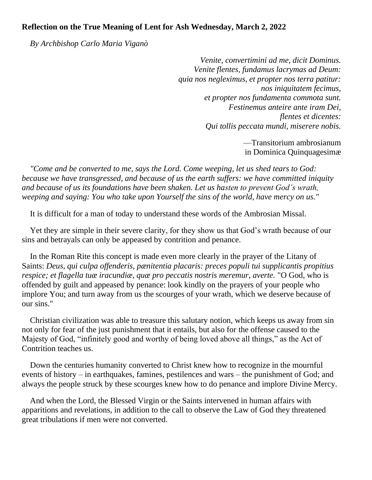## **Reflection on the True Meaning of Lent for Ash Wednesday, March 2, 2022**

 *By Archbishop Carlo Maria Viganò*

*Venite, convertimini ad me, dicit Dominus. Venite flentes, fundamus lacrymas ad Deum: quia nos negleximus, et propter nos terra patitur: nos iniquitatem fecimus, et propter nos fundamenta commota sunt. Festinemus anteire ante iram Dei, flentes et dicentes: Qui tollis peccata mundi, miserere nobis.*

> —Transitorium ambrosianum in Dominica Quinquagesimæ

 *"Come and be converted to me, says the Lord. Come weeping, let us shed tears to God: because we have transgressed, and because of us the earth suffers: we have committed iniquity and because of us its foundations have been shaken. Let us hasten to prevent God's wrath, weeping and saying: You who take upon Yourself the sins of the world, have mercy on us."*

It is difficult for a man of today to understand these words of the Ambrosian Missal.

 Yet they are simple in their severe clarity, for they show us that God's wrath because of our sins and betrayals can only be appeased by contrition and penance.

 In the Roman Rite this concept is made even more clearly in the prayer of the Litany of Saints: *Deus, qui culpa offenderis, pænitentia placaris: preces populi tui supplicantis propitius respice; et flagella tuæ iracundiæ, quæ pro peccatis nostris meremur, averte.* "O God, who is offended by guilt and appeased by penance: look kindly on the prayers of your people who implore You; and turn away from us the scourges of your wrath, which we deserve because of our sins."

 Christian civilization was able to treasure this salutary notion, which keeps us away from sin not only for fear of the just punishment that it entails, but also for the offense caused to the Majesty of God, "infinitely good and worthy of being loved above all things," as the Act of Contrition teaches us.

 Down the centuries humanity converted to Christ knew how to recognize in the mournful events of history – in earthquakes, famines, pestilences and wars – the punishment of God; and always the people struck by these scourges knew how to do penance and implore Divine Mercy.

 And when the Lord, the Blessed Virgin or the Saints intervened in human affairs with apparitions and revelations, in addition to the call to observe the Law of God they threatened great tribulations if men were not converted.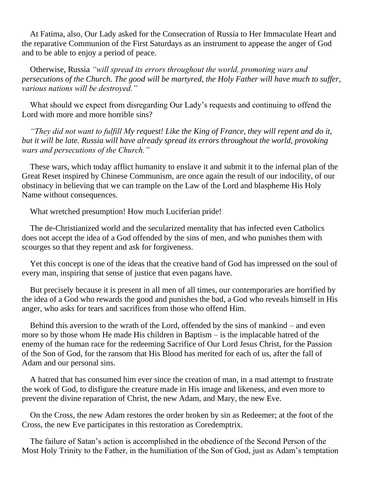At Fatima, also, Our Lady asked for the Consecration of Russia to Her Immaculate Heart and the reparative Communion of the First Saturdays as an instrument to appease the anger of God and to be able to enjoy a period of peace.

 Otherwise, Russia *"will spread its errors throughout the world, promoting wars and persecutions of the Church. The good will be martyred, the Holy Father will have much to suffer, various nations will be destroyed."* 

 What should we expect from disregarding Our Lady's requests and continuing to offend the Lord with more and more horrible sins?

 *"They did not want to fulfill My request! Like the King of France, they will repent and do it, but it will be late. Russia will have already spread its errors throughout the world, provoking wars and persecutions of the Church."* 

 These wars, which today afflict humanity to enslave it and submit it to the infernal plan of the Great Reset inspired by Chinese Communism, are once again the result of our indocility, of our obstinacy in believing that we can trample on the Law of the Lord and blaspheme His Holy Name without consequences.

What wretched presumption! How much Luciferian pride!

 The de-Christianized world and the secularized mentality that has infected even Catholics does not accept the idea of a God offended by the sins of men, and who punishes them with scourges so that they repent and ask for forgiveness.

 Yet this concept is one of the ideas that the creative hand of God has impressed on the soul of every man, inspiring that sense of justice that even pagans have.

 But precisely because it is present in all men of all times, our contemporaries are horrified by the idea of a God who rewards the good and punishes the bad, a God who reveals himself in His anger, who asks for tears and sacrifices from those who offend Him.

 Behind this aversion to the wrath of the Lord, offended by the sins of mankind – and even more so by those whom He made His children in Baptism – is the implacable hatred of the enemy of the human race for the redeeming Sacrifice of Our Lord Jesus Christ, for the Passion of the Son of God, for the ransom that His Blood has merited for each of us, after the fall of Adam and our personal sins.

 A hatred that has consumed him ever since the creation of man, in a mad attempt to frustrate the work of God, to disfigure the creature made in His image and likeness, and even more to prevent the divine reparation of Christ, the new Adam, and Mary, the new Eve.

 On the Cross, the new Adam restores the order broken by sin as Redeemer; at the foot of the Cross, the new Eve participates in this restoration as Coredemptrix.

 The failure of Satan's action is accomplished in the obedience of the Second Person of the Most Holy Trinity to the Father, in the humiliation of the Son of God, just as Adam's temptation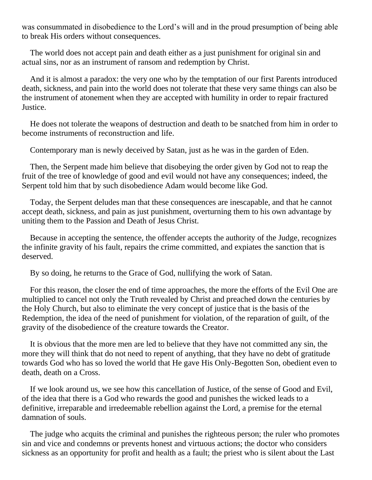was consummated in disobedience to the Lord's will and in the proud presumption of being able to break His orders without consequences.

 The world does not accept pain and death either as a just punishment for original sin and actual sins, nor as an instrument of ransom and redemption by Christ.

 And it is almost a paradox: the very one who by the temptation of our first Parents introduced death, sickness, and pain into the world does not tolerate that these very same things can also be the instrument of atonement when they are accepted with humility in order to repair fractured Justice.

 He does not tolerate the weapons of destruction and death to be snatched from him in order to become instruments of reconstruction and life.

Contemporary man is newly deceived by Satan, just as he was in the garden of Eden.

 Then, the Serpent made him believe that disobeying the order given by God not to reap the fruit of the tree of knowledge of good and evil would not have any consequences; indeed, the Serpent told him that by such disobedience Adam would become like God.

 Today, the Serpent deludes man that these consequences are inescapable, and that he cannot accept death, sickness, and pain as just punishment, overturning them to his own advantage by uniting them to the Passion and Death of Jesus Christ.

 Because in accepting the sentence, the offender accepts the authority of the Judge, recognizes the infinite gravity of his fault, repairs the crime committed, and expiates the sanction that is deserved.

By so doing, he returns to the Grace of God, nullifying the work of Satan.

 For this reason, the closer the end of time approaches, the more the efforts of the Evil One are multiplied to cancel not only the Truth revealed by Christ and preached down the centuries by the Holy Church, but also to eliminate the very concept of justice that is the basis of the Redemption, the idea of the need of punishment for violation, of the reparation of guilt, of the gravity of the disobedience of the creature towards the Creator.

 It is obvious that the more men are led to believe that they have not committed any sin, the more they will think that do not need to repent of anything, that they have no debt of gratitude towards God who has so loved the world that He gave His Only-Begotten Son, obedient even to death, death on a Cross.

 If we look around us, we see how this cancellation of Justice, of the sense of Good and Evil, of the idea that there is a God who rewards the good and punishes the wicked leads to a definitive, irreparable and irredeemable rebellion against the Lord, a premise for the eternal damnation of souls.

 The judge who acquits the criminal and punishes the righteous person; the ruler who promotes sin and vice and condemns or prevents honest and virtuous actions; the doctor who considers sickness as an opportunity for profit and health as a fault; the priest who is silent about the Last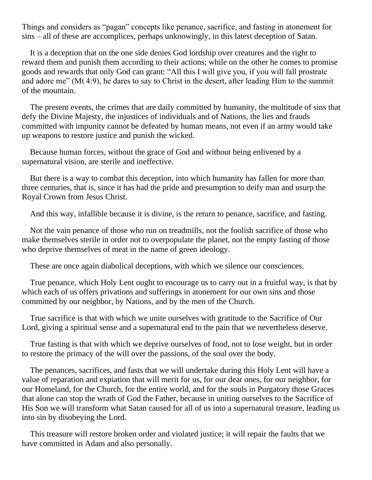Things and considers as "pagan" concepts like penance, sacrifice, and fasting in atonement for sins – all of these are accomplices, perhaps unknowingly, in this latest deception of Satan.

 It is a deception that on the one side denies God lordship over creatures and the right to reward them and punish them according to their actions; while on the other he comes to promise goods and rewards that only God can grant: "All this I will give you, if you will fall prostrate and adore me" (Mt 4:9), he dares to say to Christ in the desert, after leading Him to the summit of the mountain.

 The present events, the crimes that are daily committed by humanity, the multitude of sins that defy the Divine Majesty, the injustices of individuals and of Nations, the lies and frauds committed with impunity cannot be defeated by human means, not even if an army would take up weapons to restore justice and punish the wicked.

 Because human forces, without the grace of God and without being enlivened by a supernatural vision, are sterile and ineffective.

 But there is a way to combat this deception, into which humanity has fallen for more than three centuries, that is, since it has had the pride and presumption to deify man and usurp the Royal Crown from Jesus Christ.

And this way, infallible because it is divine, is the return to penance, sacrifice, and fasting.

 Not the vain penance of those who run on treadmills, not the foolish sacrifice of those who make themselves sterile in order not to overpopulate the planet, not the empty fasting of those who deprive themselves of meat in the name of green ideology.

These are once again diabolical deceptions, with which we silence our consciences.

 True penance, which Holy Lent ought to encourage us to carry out in a fruitful way, is that by which each of us offers privations and sufferings in atonement for our own sins and those committed by our neighbor, by Nations, and by the men of the Church.

 True sacrifice is that with which we unite ourselves with gratitude to the Sacrifice of Our Lord, giving a spiritual sense and a supernatural end to the pain that we nevertheless deserve.

 True fasting is that with which we deprive ourselves of food, not to lose weight, but in order to restore the primacy of the will over the passions, of the soul over the body.

 The penances, sacrifices, and fasts that we will undertake during this Holy Lent will have a value of reparation and expiation that will merit for us, for our dear ones, for our neighbor, for our Homeland, for the Church, for the entire world, and for the souls in Purgatory those Graces that alone can stop the wrath of God the Father, because in uniting ourselves to the Sacrifice of His Son we will transform what Satan caused for all of us into a supernatural treasure, leading us into sin by disobeying the Lord.

 This treasure will restore broken order and violated justice; it will repair the faults that we have committed in Adam and also personally.